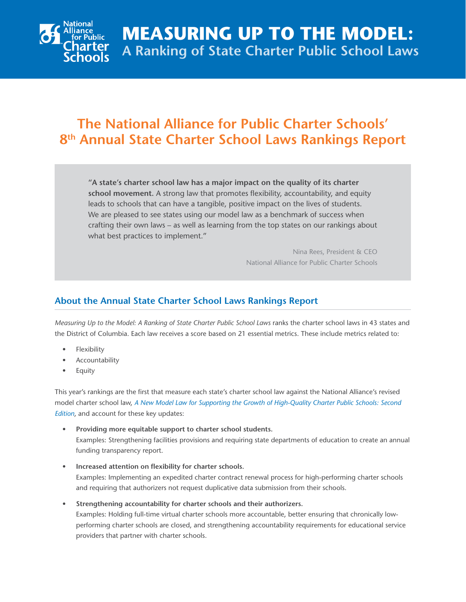

## **The National Alliance for Public Charter Schools' 8th Annual State Charter School Laws Rankings Report**

**"A state's charter school law has a major impact on the quality of its charter school movement.** A strong law that promotes flexibility, accountability, and equity leads to schools that can have a tangible, positive impact on the lives of students. We are pleased to see states using our model law as a benchmark of success when crafting their own laws – as well as learning from the top states on our rankings about what best practices to implement."

> Nina Rees, President & CEO National Alliance for Public Charter Schools

## **About the Annual State Charter School Laws Rankings Report**

*Measuring Up to the Model: A Ranking of State Charter Public School Laws* ranks the charter school laws in 43 states and the District of Columbia. Each law receives a score based on 21 essential metrics. These include metrics related to:

- **Flexibility**
- **Accountability**
- **Equity**

This year's rankings are the first that measure each state's charter school law against the National Alliance's revised model charter school law, *[A New Model Law for Supporting the Growth of High-Quality Charter Public Schools: Second](http://www.publiccharters.org/publications/model-law-supporting-high-quality-charter-public-schools/)  [Edition](http://www.publiccharters.org/publications/model-law-supporting-high-quality-charter-public-schools/)*, and account for these key updates:

- **• Providing more equitable support to charter school students.**  Examples: Strengthening facilities provisions and requiring state departments of education to create an annual funding transparency report.
- **• Increased attention on flexibility for charter schools.** Examples: Implementing an expedited charter contract renewal process for high-performing charter schools and requiring that authorizers not request duplicative data submission from their schools.
- **• Strengthening accountability for charter schools and their authorizers.** Examples: Holding full-time virtual charter schools more accountable, better ensuring that chronically lowperforming charter schools are closed, and strengthening accountability requirements for educational service providers that partner with charter schools.